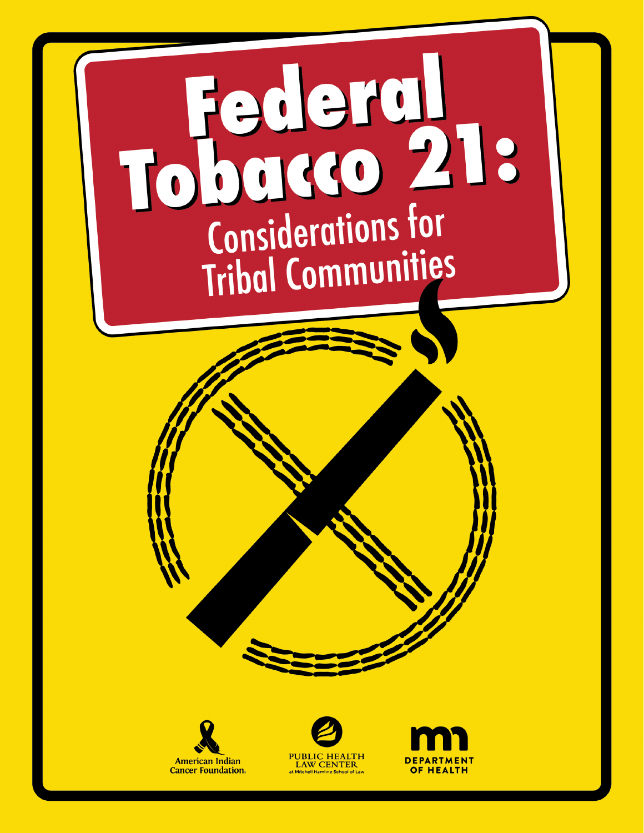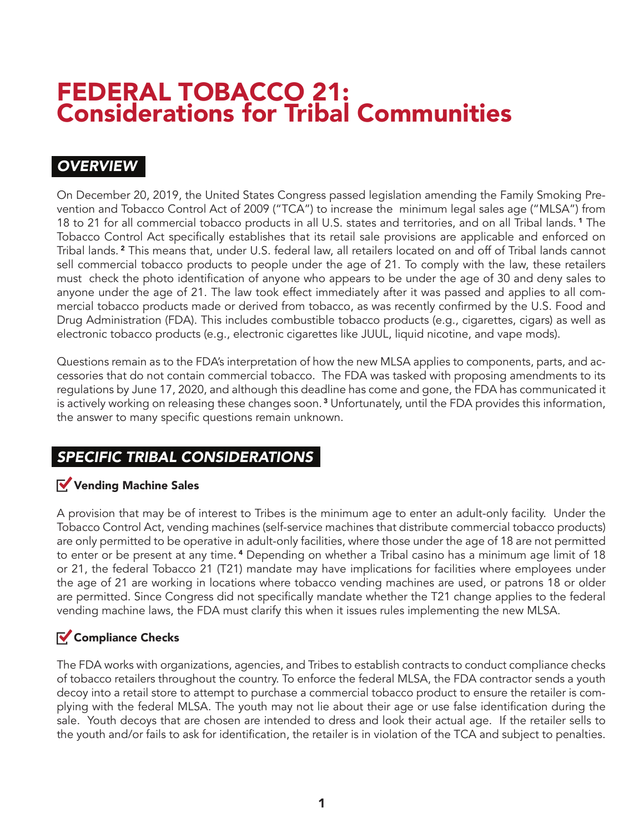# FEDERAL TOBACCO 21: Considerations for Tribal Communities

## *OVERVIEW*

On December 20, 2019, the United States Congress passed legislation amending the Family Smoking Prevention and Tobacco Control Act of 2009 ("TCA") to increase the minimum legal sales age ("MLSA") from 18 to 21 for all commercial tobacco products in all U.S. states and territories, and on all Tribal lands. 1 The Tobacco Control Act specifically establishes that its retail sale provisions are applicable and enforced on Tribal lands. 2 This means that, under U.S. federal law, all retailers located on and off of Tribal lands cannot sell commercial tobacco products to people under the age of 21. To comply with the law, these retailers must check the photo identification of anyone who appears to be under the age of 30 and deny sales to anyone under the age of 21. The law took effect immediately after it was passed and applies to all commercial tobacco products made or derived from tobacco, as was recently confirmed by the U.S. Food and Drug Administration (FDA). This includes combustible tobacco products (e.g., cigarettes, cigars) as well as electronic tobacco products (e.g., electronic cigarettes like JUUL, liquid nicotine, and vape mods).

Questions remain as to the FDA's interpretation of how the new MLSA applies to components, parts, and accessories that do not contain commercial tobacco. The FDA was tasked with proposing amendments to its regulations by June 17, 2020, and although this deadline has come and gone, the FDA has communicated it is actively working on releasing these changes soon. 3 Unfortunately, until the FDA provides this information, the answer to many specific questions remain unknown.

## *SPECIFIC TRIBAL CONSIDERATIONS*

### Vending Machine Sales

A provision that may be of interest to Tribes is the minimum age to enter an adult-only facility. Under the Tobacco Control Act, vending machines (self-service machines that distribute commercial tobacco products) are only permitted to be operative in adult-only facilities, where those under the age of 18 are not permitted to enter or be present at any time. 4 Depending on whether a Tribal casino has a minimum age limit of 18 or 21, the federal Tobacco 21 (T21) mandate may have implications for facilities where employees under the age of 21 are working in locations where tobacco vending machines are used, or patrons 18 or older are permitted. Since Congress did not specifically mandate whether the T21 change applies to the federal vending machine laws, the FDA must clarify this when it issues rules implementing the new MLSA.

### $\sqrt{\frac{1}{2}}$  Compliance Checks

The FDA works with organizations, agencies, and Tribes to establish contracts to conduct compliance checks of tobacco retailers throughout the country. To enforce the federal MLSA, the FDA contractor sends a youth decoy into a retail store to attempt to purchase a commercial tobacco product to ensure the retailer is complying with the federal MLSA. The youth may not lie about their age or use false identification during the sale. Youth decoys that are chosen are intended to dress and look their actual age. If the retailer sells to the youth and/or fails to ask for identification, the retailer is in violation of the TCA and subject to penalties.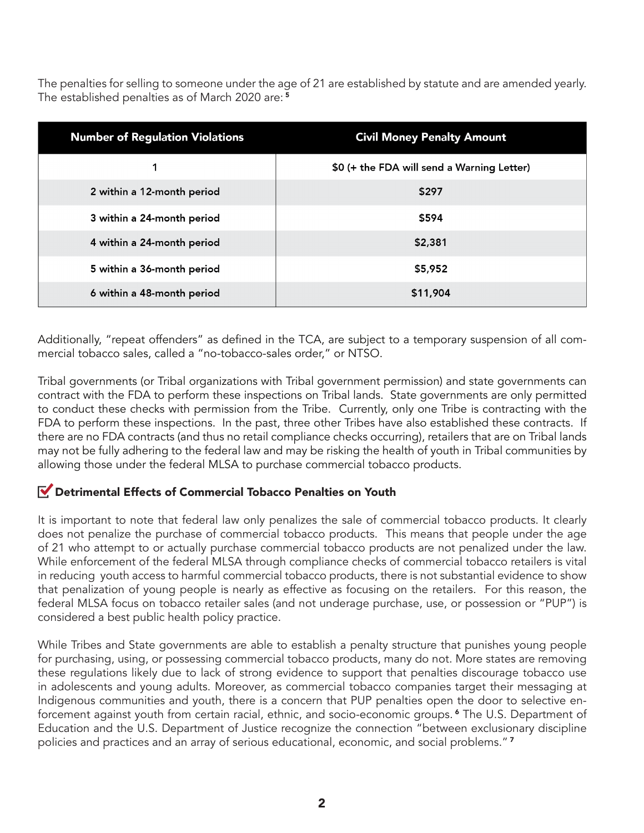The penalties for selling to someone under the age of 21 are established by statute and are amended yearly. The established penalties as of March 2020 are:<sup>5</sup>

| <b>Number of Regulation Violations</b> | <b>Civil Money Penalty Amount</b>          |
|----------------------------------------|--------------------------------------------|
|                                        | \$0 (+ the FDA will send a Warning Letter) |
| 2 within a 12-month period             | \$297                                      |
| 3 within a 24-month period             | \$594                                      |
| 4 within a 24-month period             | \$2,381                                    |
| 5 within a 36-month period             | \$5,952                                    |
| 6 within a 48-month period             | \$11,904                                   |

Additionally, "repeat offenders" as defined in the TCA, are subject to a temporary suspension of all commercial tobacco sales, called a "no-tobacco-sales order," or NTSO.

Tribal governments (or Tribal organizations with Tribal government permission) and state governments can contract with the FDA to perform these inspections on Tribal lands. State governments are only permitted to conduct these checks with permission from the Tribe. Currently, only one Tribe is contracting with the FDA to perform these inspections. In the past, three other Tribes have also established these contracts. If there are no FDA contracts (and thus no retail compliance checks occurring), retailers that are on Tribal lands may not be fully adhering to the federal law and may be risking the health of youth in Tribal communities by allowing those under the federal MLSA to purchase commercial tobacco products.

#### Detrimental Effects of Commercial Tobacco Penalties on Youth

It is important to note that federal law only penalizes the sale of commercial tobacco products. It clearly does not penalize the purchase of commercial tobacco products. This means that people under the age of 21 who attempt to or actually purchase commercial tobacco products are not penalized under the law. While enforcement of the federal MLSA through compliance checks of commercial tobacco retailers is vital in reducing youth access to harmful commercial tobacco products, there is not substantial evidence to show that penalization of young people is nearly as effective as focusing on the retailers. For this reason, the federal MLSA focus on tobacco retailer sales (and not underage purchase, use, or possession or "PUP") is considered a best public health policy practice.

While Tribes and State governments are able to establish a penalty structure that punishes young people for purchasing, using, or possessing commercial tobacco products, many do not. More states are removing these regulations likely due to lack of strong evidence to support that penalties discourage tobacco use in adolescents and young adults. Moreover, as commercial tobacco companies target their messaging at Indigenous communities and youth, there is a concern that PUP penalties open the door to selective enforcement against youth from certain racial, ethnic, and socio-economic groups. 6 The U.S. Department of Education and the U.S. Department of Justice recognize the connection "between exclusionary discipline policies and practices and an array of serious educational, economic, and social problems."<sup>7</sup>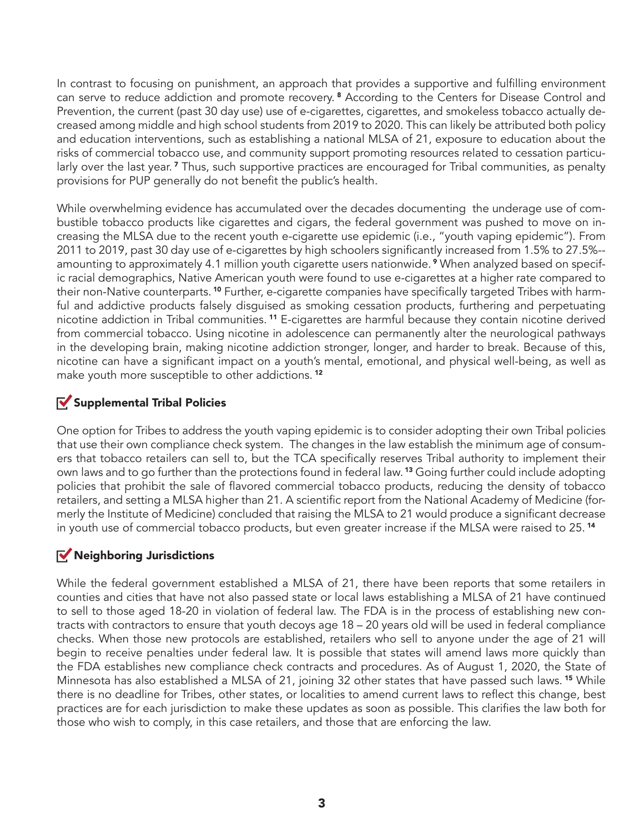In contrast to focusing on punishment, an approach that provides a supportive and fulfilling environment can serve to reduce addiction and promote recovery. 8 According to the Centers for Disease Control and Prevention, the current (past 30 day use) use of e-cigarettes, cigarettes, and smokeless tobacco actually decreased among middle and high school students from 2019 to 2020. This can likely be attributed both policy and education interventions, such as establishing a national MLSA of 21, exposure to education about the risks of commercial tobacco use, and community support promoting resources related to cessation particularly over the last year.<sup>7</sup> Thus, such supportive practices are encouraged for Tribal communities, as penalty provisions for PUP generally do not benefit the public's health.

While overwhelming evidence has accumulated over the decades documenting the underage use of combustible tobacco products like cigarettes and cigars, the federal government was pushed to move on increasing the MLSA due to the recent youth e-cigarette use epidemic (i.e., "youth vaping epidemic"). From 2011 to 2019, past 30 day use of e-cigarettes by high schoolers significantly increased from 1.5% to 27.5%- amounting to approximately 4.1 million youth cigarette users nationwide. 9 When analyzed based on specific racial demographics, Native American youth were found to use e-cigarettes at a higher rate compared to their non-Native counterparts. 10 Further, e-cigarette companies have specifically targeted Tribes with harmful and addictive products falsely disguised as smoking cessation products, furthering and perpetuating nicotine addiction in Tribal communities. 11 E-cigarettes are harmful because they contain nicotine derived from commercial tobacco. Using nicotine in adolescence can permanently alter the neurological pathways in the developing brain, making nicotine addiction stronger, longer, and harder to break. Because of this, nicotine can have a significant impact on a youth's mental, emotional, and physical well-being, as well as make youth more susceptible to other addictions.<sup>12</sup>

#### $\sqrt{\ }$  Supplemental Tribal Policies

One option for Tribes to address the youth vaping epidemic is to consider adopting their own Tribal policies that use their own compliance check system. The changes in the law establish the minimum age of consumers that tobacco retailers can sell to, but the TCA specifically reserves Tribal authority to implement their own laws and to go further than the protections found in federal law. 13 Going further could include adopting policies that prohibit the sale of flavored commercial tobacco products, reducing the density of tobacco retailers, and setting a MLSA higher than 21. A scientific report from the National Academy of Medicine (formerly the Institute of Medicine) concluded that raising the MLSA to 21 would produce a significant decrease in youth use of commercial tobacco products, but even greater increase if the MLSA were raised to 25.<sup>14</sup>

### Neighboring Jurisdictions

While the federal government established a MLSA of 21, there have been reports that some retailers in counties and cities that have not also passed state or local laws establishing a MLSA of 21 have continued to sell to those aged 18-20 in violation of federal law. The FDA is in the process of establishing new contracts with contractors to ensure that youth decoys age 18 – 20 years old will be used in federal compliance checks. When those new protocols are established, retailers who sell to anyone under the age of 21 will begin to receive penalties under federal law. It is possible that states will amend laws more quickly than the FDA establishes new compliance check contracts and procedures. As of August 1, 2020, the State of Minnesota has also established a MLSA of 21, joining 32 other states that have passed such laws.<sup>15</sup> While there is no deadline for Tribes, other states, or localities to amend current laws to reflect this change, best practices are for each jurisdiction to make these updates as soon as possible. This clarifies the law both for those who wish to comply, in this case retailers, and those that are enforcing the law.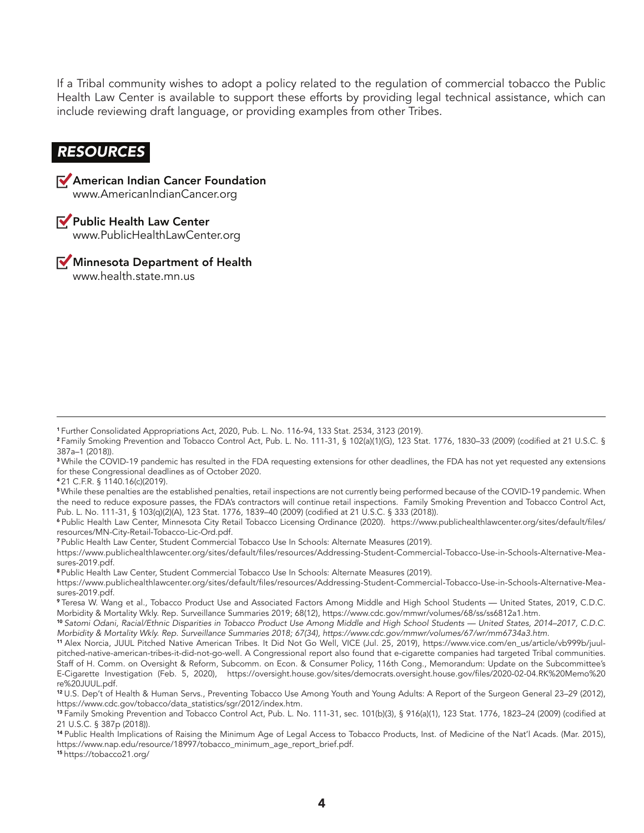If a Tribal community wishes to adopt a policy related to the regulation of commercial tobacco the Public Health Law Center is available to support these efforts by providing legal technical assistance, which can include reviewing draft language, or providing examples from other Tribes.

#### *RESOURCES*



Public Health Law Center www.PublicHealthLawCenter.org

Minnesota Department of Health www.health.state.mn.us

<sup>4</sup>21 C.F.R. § 1140.16(c)(2019).

<sup>6</sup>Public Health Law Center, Minnesota City Retail Tobacco Licensing Ordinance (2020). https://www.publichealthlawcenter.org/sites/default/files/ resources/MN-City-Retail-Tobacco-Lic-Ord.pdf.

<sup>7</sup>Public Health Law Center, Student Commercial Tobacco Use In Schools: Alternate Measures (2019).

https://www.publichealthlawcenter.org/sites/default/files/resources/Addressing-Student-Commercial-Tobacco-Use-in-Schools-Alternative-Measures-2019.pdf.

<sup>8</sup>Public Health Law Center, Student Commercial Tobacco Use In Schools: Alternate Measures (2019).

<sup>10</sup>*Satomi Odani, Racial/Ethnic Disparities in Tobacco Product Use Among Middle and High School Students — United States, 2014–2017, C.D.C. Morbidity & Mortality Wkly. Rep. Surveillance Summaries 2018; 67(34), https://www.cdc.gov/mmwr/volumes/67/wr/mm6734a3.htm*.

<sup>15</sup>https://tobacco21.org/

<sup>1</sup>Further Consolidated Appropriations Act, 2020, Pub. L. No. 116-94, 133 Stat. 2534, 3123 (2019).

<sup>2</sup>Family Smoking Prevention and Tobacco Control Act, Pub. L. No. 111-31, § 102(a)(1)(G), 123 Stat. 1776, 1830–33 (2009) (codified at 21 U.S.C. § 387a–1 (2018)).

<sup>&</sup>lt;sup>3</sup> While the COVID-19 pandemic has resulted in the FDA requesting extensions for other deadlines, the FDA has not yet requested any extensions for these Congressional deadlines as of October 2020.

<sup>5</sup>While these penalties are the established penalties, retail inspections are not currently being performed because of the COVID-19 pandemic. When the need to reduce exposure passes, the FDA's contractors will continue retail inspections. Family Smoking Prevention and Tobacco Control Act, Pub. L. No. 111-31, § 103(q)(2)(A), 123 Stat. 1776, 1839–40 (2009) (codified at 21 U.S.C. § 333 (2018)).

https://www.publichealthlawcenter.org/sites/default/files/resources/Addressing-Student-Commercial-Tobacco-Use-in-Schools-Alternative-Measures-2019.pdf.

<sup>9</sup>Teresa W. Wang et al., Tobacco Product Use and Associated Factors Among Middle and High School Students — United States, 2019, C.D.C. Morbidity & Mortality Wkly. Rep. Surveillance Summaries 2019; 68(12), https://www.cdc.gov/mmwr/volumes/68/ss/ss6812a1.htm.

<sup>11</sup> Alex Norcia, JUUL Pitched Native American Tribes. It Did Not Go Well, VICE (Jul. 25, 2019), https://www.vice.com/en\_us/article/vb999b/juulpitched-native-american-tribes-it-did-not-go-well. A Congressional report also found that e-cigarette companies had targeted Tribal communities. Staff of H. Comm. on Oversight & Reform, Subcomm. on Econ. & Consumer Policy, 116th Cong., Memorandum: Update on the Subcommittee's E-Cigarette Investigation (Feb. 5, 2020), https://oversight.house.gov/sites/democrats.oversight.house.gov/files/2020-02-04.RK%20Memo%20 re%20JUUL.pdf.

<sup>12</sup>U.S. Dep't of Health & Human Servs., Preventing Tobacco Use Among Youth and Young Adults: A Report of the Surgeon General 23–29 (2012), https://www.cdc.gov/tobacco/data\_statistics/sgr/2012/index.htm.

<sup>13</sup>Family Smoking Prevention and Tobacco Control Act, Pub. L. No. 111-31, sec. 101(b)(3), § 916(a)(1), 123 Stat. 1776, 1823–24 (2009) (codified at 21 U.S.C. § 387p (2018)).

<sup>14</sup>Public Health Implications of Raising the Minimum Age of Legal Access to Tobacco Products, Inst. of Medicine of the Nat'l Acads. (Mar. 2015), https://www.nap.edu/resource/18997/tobacco\_minimum\_age\_report\_brief.pdf.